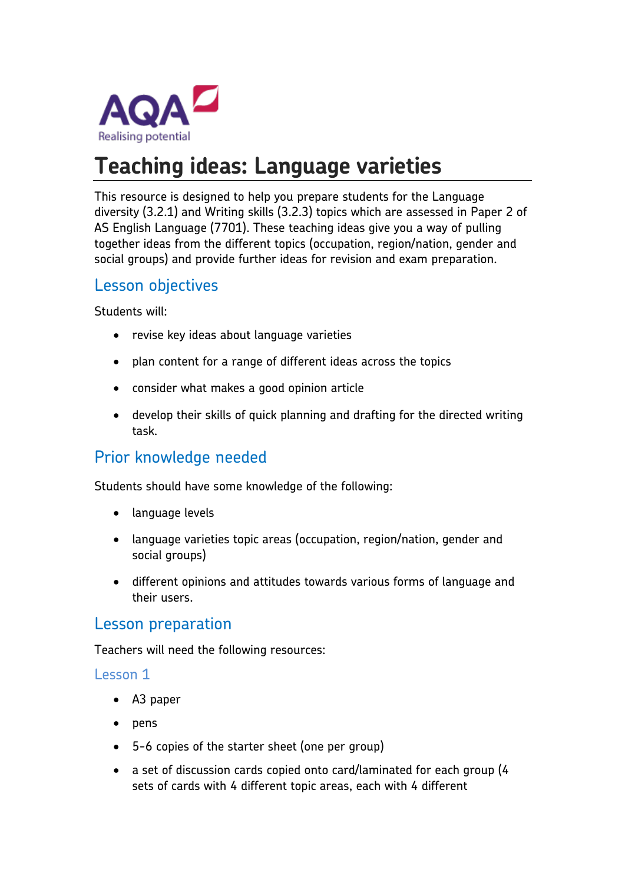

# **Teaching ideas: Language varieties**

This resource is designed to help you prepare students for the Language diversity (3.2.1) and Writing skills (3.2.3) topics which are assessed in Paper 2 of AS English Language (7701). These teaching ideas give you a way of pulling together ideas from the different topics (occupation, region/nation, gender and social groups) and provide further ideas for revision and exam preparation.

# Lesson objectives

Students will:

- revise key ideas about language varieties
- plan content for a range of different ideas across the topics
- consider what makes a good opinion article
- develop their skills of quick planning and drafting for the directed writing task.

# Prior knowledge needed

Students should have some knowledge of the following:

- language levels
- language varieties topic areas (occupation, region/nation, gender and social groups)
- different opinions and attitudes towards various forms of language and their users.

## Lesson preparation

Teachers will need the following resources:

#### Lesson 1

- A3 paper
- $\rho$  pens
- 5-6 copies of the starter sheet (one per group)
- a set of discussion cards copied onto card/laminated for each group (4 sets of cards with 4 different topic areas, each with 4 different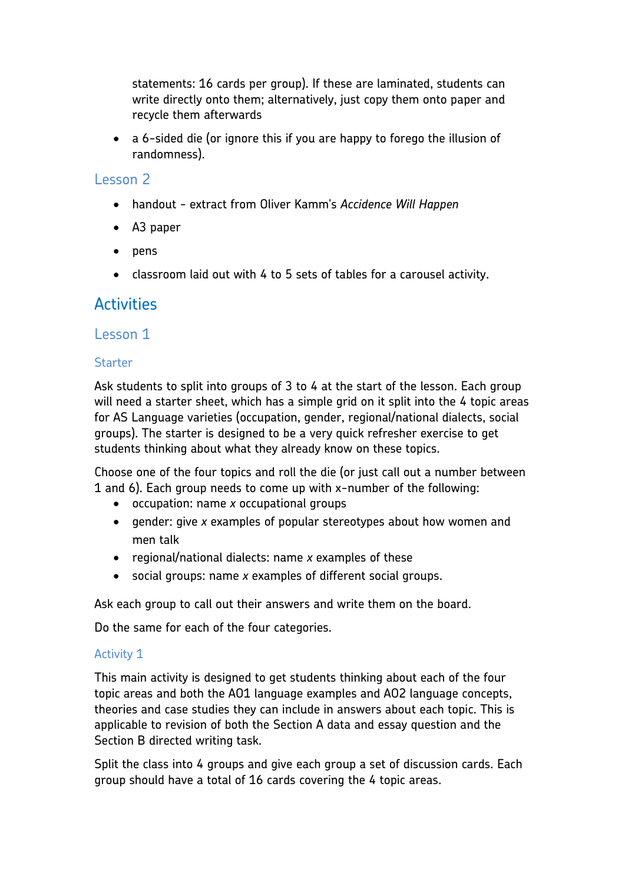statements: 16 cards per group). If these are laminated, students can write directly onto them; alternatively, just copy them onto paper and recycle them afterwards

 a 6-sided die (or ignore this if you are happy to forego the illusion of randomness).

#### Lesson 2

- handout extract from Oliver Kamm's *Accidence Will Happen*
- A3 paper
- pens
- classroom laid out with 4 to 5 sets of tables for a carousel activity.

# **Activities**

#### Lesson 1

#### **Starter**

Ask students to split into groups of 3 to 4 at the start of the lesson. Each group will need a starter sheet, which has a simple grid on it split into the 4 topic areas for AS Language varieties (occupation, gender, regional/national dialects, social groups). The starter is designed to be a very quick refresher exercise to get students thinking about what they already know on these topics.

Choose one of the four topics and roll the die (or just call out a number between 1 and 6). Each group needs to come up with x-number of the following:

- occupation: name *x* occupational groups
- gender: give *x* examples of popular stereotypes about how women and men talk
- regional/national dialects: name *x* examples of these
- social groups: name *x* examples of different social groups.

Ask each group to call out their answers and write them on the board.

Do the same for each of the four categories.

#### Activity 1

This main activity is designed to get students thinking about each of the four topic areas and both the AO1 language examples and AO2 language concepts, theories and case studies they can include in answers about each topic. This is applicable to revision of both the Section A data and essay question and the Section B directed writing task.

Split the class into 4 groups and give each group a set of discussion cards. Each group should have a total of 16 cards covering the 4 topic areas.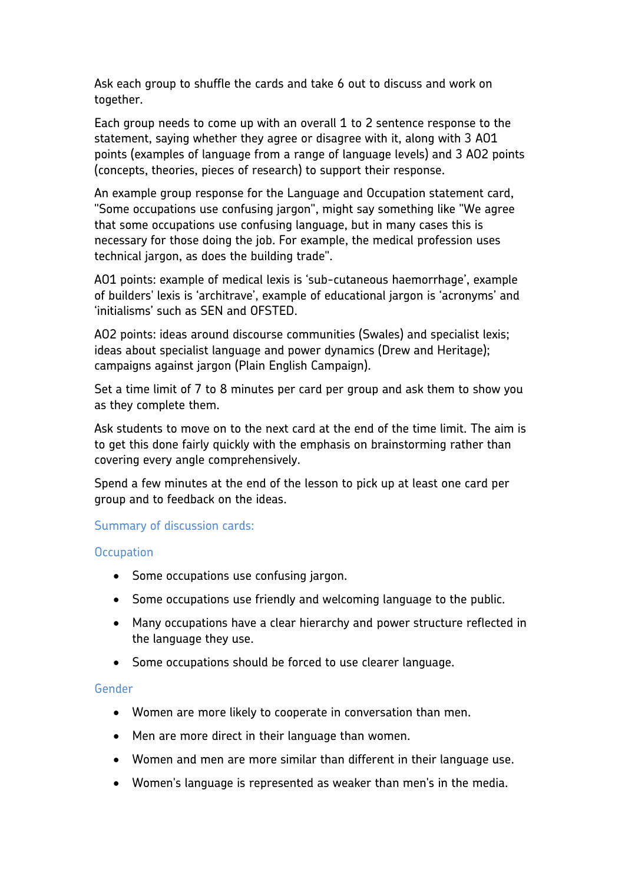Ask each group to shuffle the cards and take 6 out to discuss and work on together.

Each group needs to come up with an overall 1 to 2 sentence response to the statement, saying whether they agree or disagree with it, along with 3 AO1 points (examples of language from a range of language levels) and 3 AO2 points (concepts, theories, pieces of research) to support their response.

An example group response for the Language and Occupation statement card, "Some occupations use confusing jargon", might say something like "We agree that some occupations use confusing language, but in many cases this is necessary for those doing the job. For example, the medical profession uses technical jargon, as does the building trade".

AO1 points: example of medical lexis is 'sub-cutaneous haemorrhage', example of builders' lexis is 'architrave', example of educational jargon is 'acronyms' and 'initialisms' such as SEN and OFSTED.

AO2 points: ideas around discourse communities (Swales) and specialist lexis; ideas about specialist language and power dynamics (Drew and Heritage); campaigns against jargon (Plain English Campaign).

Set a time limit of 7 to 8 minutes per card per group and ask them to show you as they complete them.

Ask students to move on to the next card at the end of the time limit. The aim is to get this done fairly quickly with the emphasis on brainstorming rather than covering every angle comprehensively.

Spend a few minutes at the end of the lesson to pick up at least one card per group and to feedback on the ideas.

#### Summary of discussion cards:

#### **Occupation**

- Some occupations use confusing jargon.
- Some occupations use friendly and welcoming language to the public.
- Many occupations have a clear hierarchy and power structure reflected in the language they use.
- Some occupations should be forced to use clearer language.

#### Gender

- Women are more likely to cooperate in conversation than men.
- Men are more direct in their language than women.
- Women and men are more similar than different in their language use.
- Women's language is represented as weaker than men's in the media.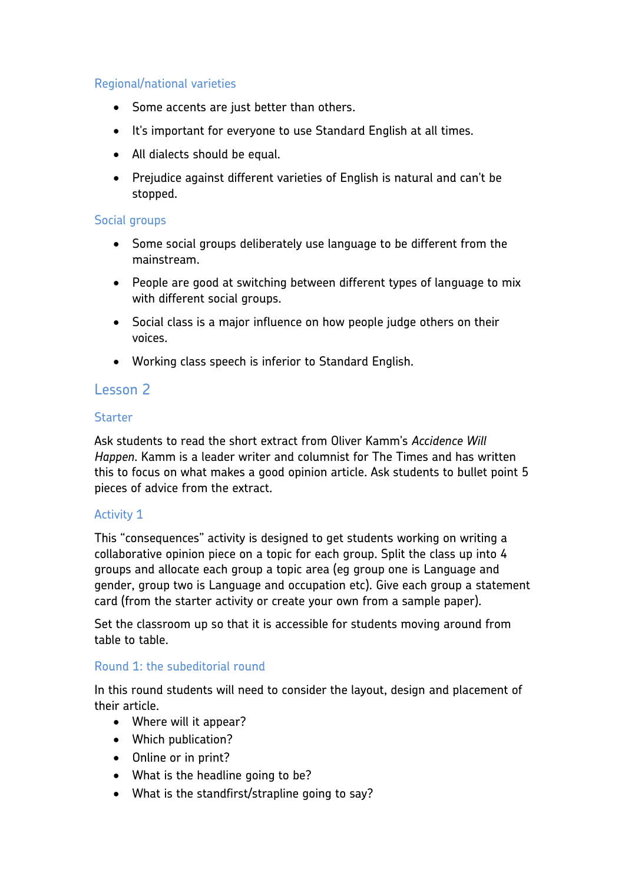#### Regional/national varieties

- Some accents are just better than others.
- It's important for everyone to use Standard English at all times.
- All dialects should be equal.
- Prejudice against different varieties of English is natural and can't be stopped.

#### Social groups

- Some social groups deliberately use language to be different from the mainstream.
- People are good at switching between different types of language to mix with different social groups.
- Social class is a major influence on how people judge others on their voices.
- Working class speech is inferior to Standard English.

### Lesson 2

#### **Starter**

Ask students to read the short extract from Oliver Kamm's *Accidence Will Happen*. Kamm is a leader writer and columnist for The Times and has written this to focus on what makes a good opinion article. Ask students to bullet point 5 pieces of advice from the extract.

#### Activity 1

This "consequences" activity is designed to get students working on writing a collaborative opinion piece on a topic for each group. Split the class up into 4 groups and allocate each group a topic area (eg group one is Language and gender, group two is Language and occupation etc). Give each group a statement card (from the starter activity or create your own from a sample paper).

Set the classroom up so that it is accessible for students moving around from table to table.

#### Round 1: the subeditorial round

In this round students will need to consider the layout, design and placement of their article.

- Where will it appear?
- Which publication?
- Online or in print?
- What is the headline going to be?
- What is the standfirst/strapline going to say?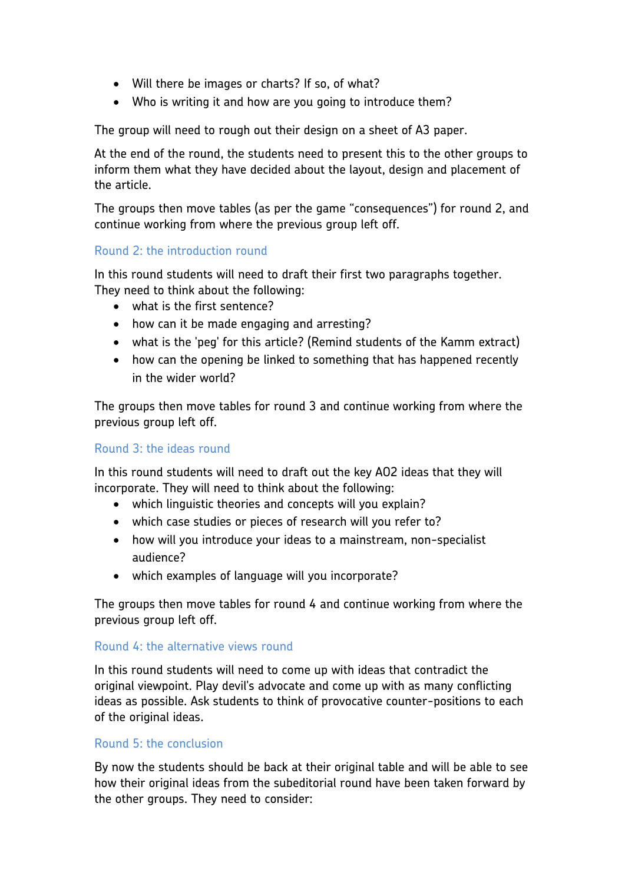- Will there be images or charts? If so, of what?
- Who is writing it and how are you going to introduce them?

The group will need to rough out their design on a sheet of A3 paper.

At the end of the round, the students need to present this to the other groups to inform them what they have decided about the layout, design and placement of the article.

The groups then move tables (as per the game "consequences") for round 2, and continue working from where the previous group left off.

#### Round 2: the introduction round

In this round students will need to draft their first two paragraphs together. They need to think about the following:

- what is the first sentence?
- how can it be made engaging and arresting?
- what is the 'peg' for this article? (Remind students of the Kamm extract)
- how can the opening be linked to something that has happened recently in the wider world?

The groups then move tables for round 3 and continue working from where the previous group left off.

#### Round 3: the ideas round

In this round students will need to draft out the key AO2 ideas that they will incorporate. They will need to think about the following:

- which linguistic theories and concepts will you explain?
- which case studies or pieces of research will you refer to?
- how will you introduce your ideas to a mainstream, non-specialist audience?
- which examples of language will you incorporate?

The groups then move tables for round 4 and continue working from where the previous group left off.

#### Round 4: the alternative views round

In this round students will need to come up with ideas that contradict the original viewpoint. Play devil's advocate and come up with as many conflicting ideas as possible. Ask students to think of provocative counter-positions to each of the original ideas.

#### Round 5: the conclusion

By now the students should be back at their original table and will be able to see how their original ideas from the subeditorial round have been taken forward by the other groups. They need to consider: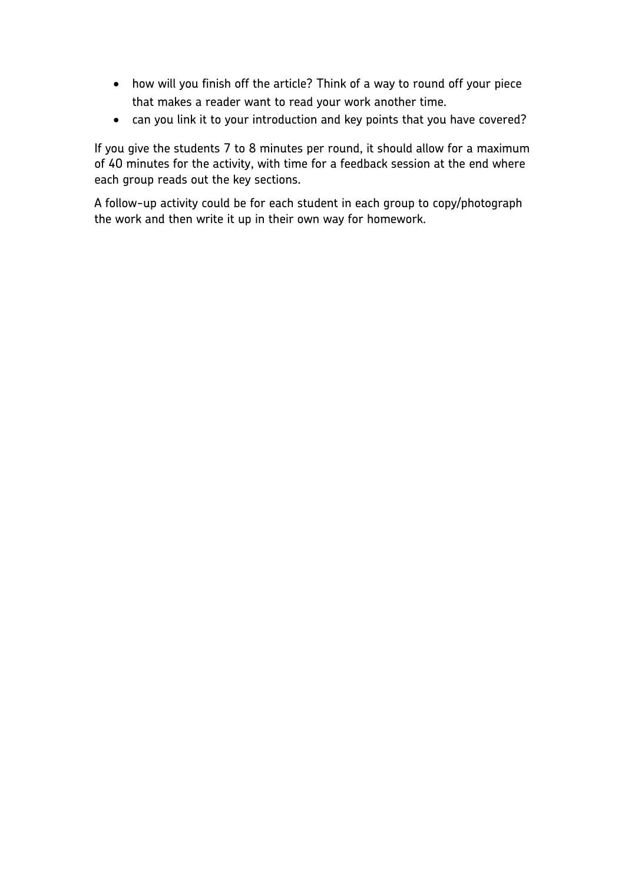- how will you finish off the article? Think of a way to round off your piece that makes a reader want to read your work another time.
- can you link it to your introduction and key points that you have covered?

If you give the students 7 to 8 minutes per round, it should allow for a maximum of 40 minutes for the activity, with time for a feedback session at the end where each group reads out the key sections.

A follow-up activity could be for each student in each group to copy/photograph the work and then write it up in their own way for homework.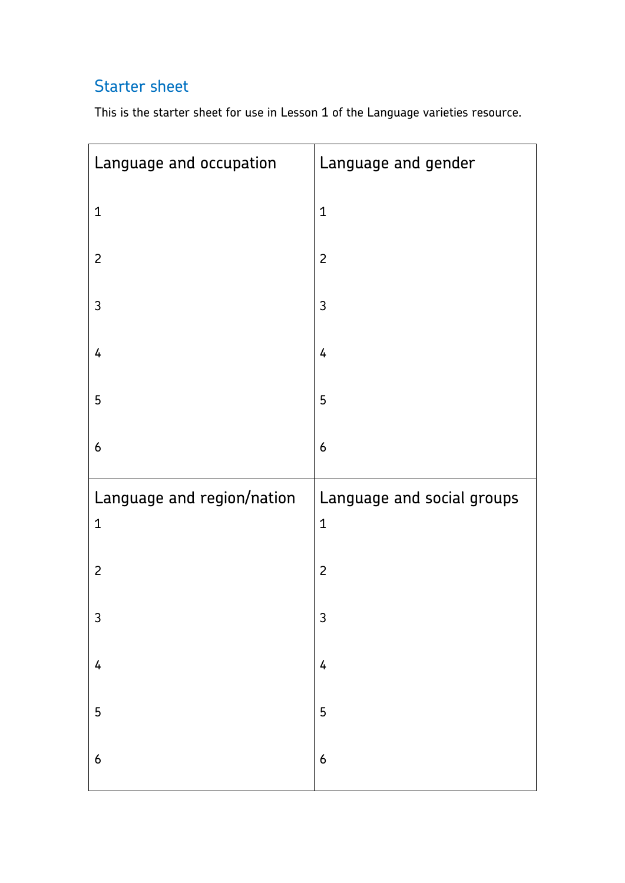# Starter sheet

This is the starter sheet for use in Lesson 1 of the Language varieties resource.

| Language and occupation    | Language and gender                        |
|----------------------------|--------------------------------------------|
| $\mathbf{1}$               | $\mathbf{1}$                               |
| $\overline{c}$             | $\overline{2}$                             |
| 3                          | $\mathfrak{Z}$                             |
| 4                          | 4                                          |
| 5                          | 5                                          |
| $\boldsymbol{6}$           | $\boldsymbol{6}$                           |
| Language and region/nation | Language and social groups<br>$\mathbf{1}$ |
| $\mathbf 1$                |                                            |
| $\overline{c}$             | $\overline{2}$                             |
| 3                          | 3                                          |
| $\overline{4}$             | $\pmb{4}$                                  |
| 5                          | 5                                          |
|                            |                                            |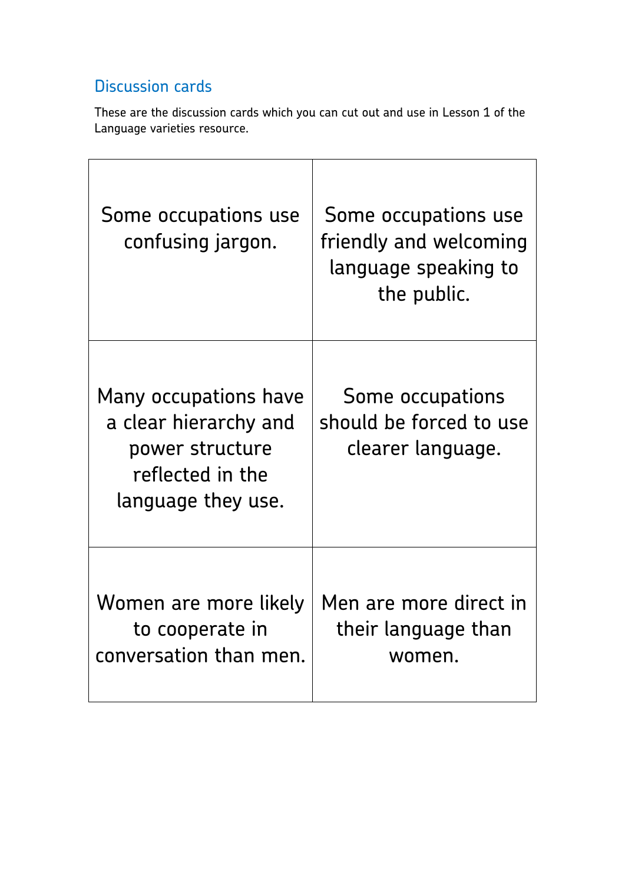# Discussion cards

These are the discussion cards which you can cut out and use in Lesson 1 of the Language varieties resource.

| Some occupations use<br>confusing jargon.                                                                   | Some occupations use<br>friendly and welcoming<br>language speaking to<br>the public. |
|-------------------------------------------------------------------------------------------------------------|---------------------------------------------------------------------------------------|
| Many occupations have<br>a clear hierarchy and<br>power structure<br>reflected in the<br>language they use. | Some occupations<br>should be forced to use<br>clearer language.                      |
| Women are more likely<br>to cooperate in<br>conversation than men.                                          | Men are more direct in<br>their language than<br>women.                               |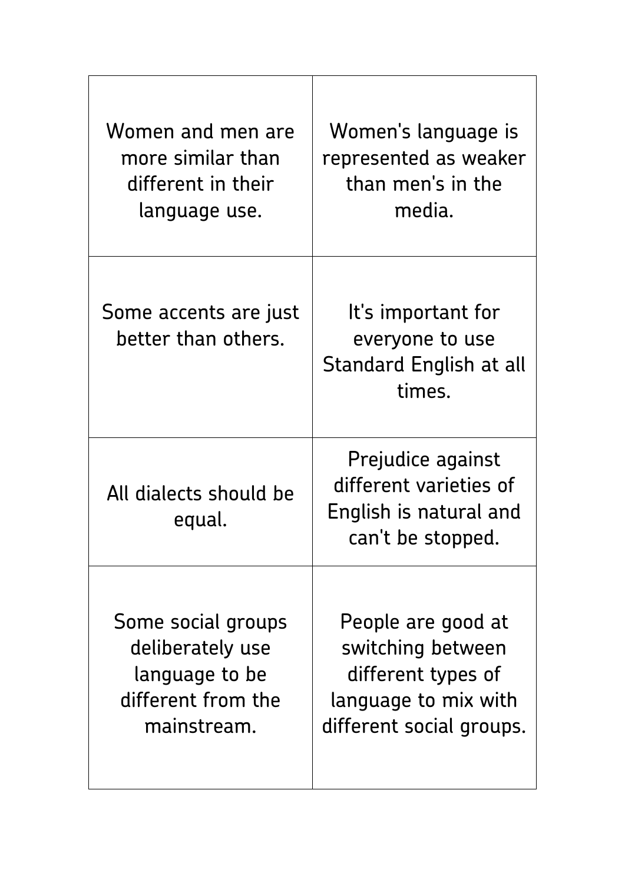| Women and men are<br>more similar than<br>different in their<br>language use.                 | Women's language is<br>represented as weaker<br>than men's in the<br>media.                                       |
|-----------------------------------------------------------------------------------------------|-------------------------------------------------------------------------------------------------------------------|
| Some accents are just<br>better than others.                                                  | It's important for<br>everyone to use<br><b>Standard English at all</b><br>times.                                 |
| All dialects should be<br>equal.                                                              | Prejudice against<br>different varieties of<br>English is natural and<br>can't be stopped.                        |
| Some social groups<br>deliberately use<br>language to be<br>different from the<br>mainstream. | People are good at<br>switching between<br>different types of<br>language to mix with<br>different social groups. |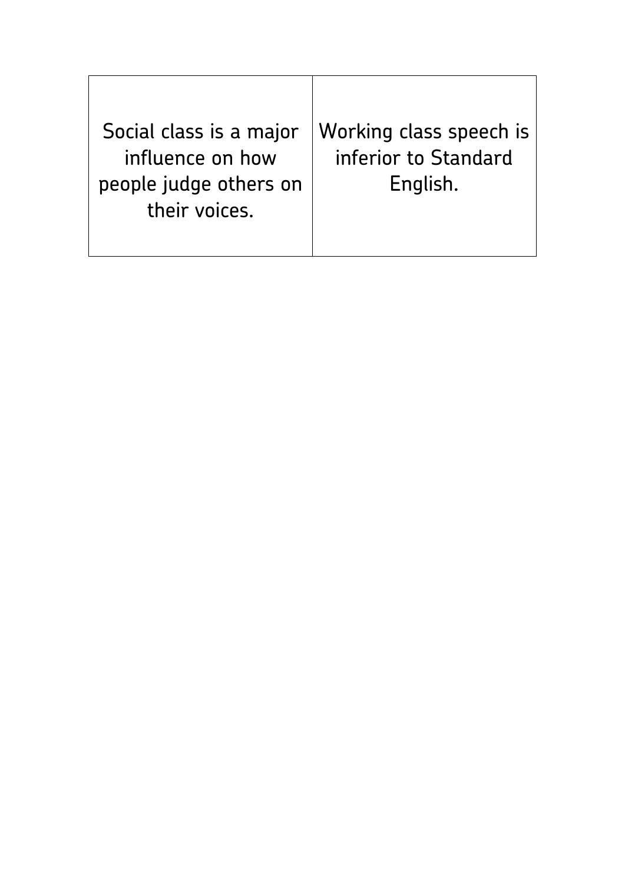Social class is a major influence on how people judge others on their voices.

Working class speech is inferior to Standard English.